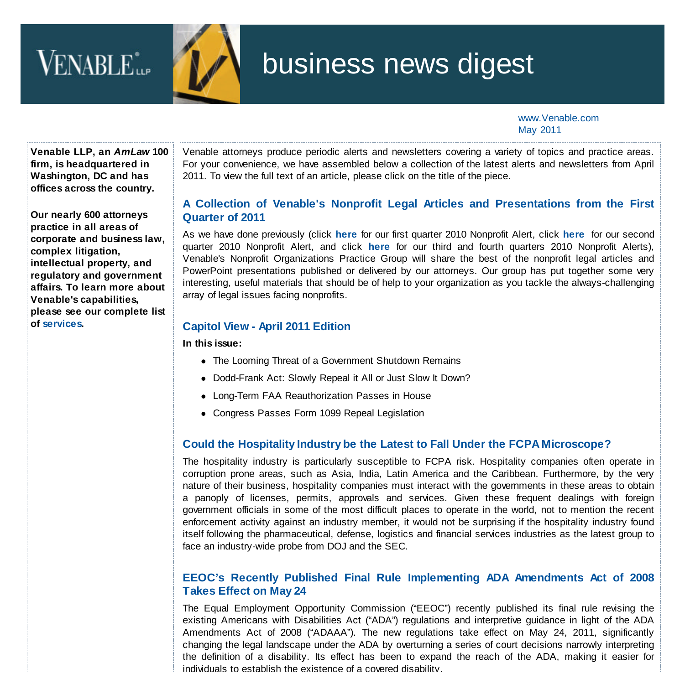# VENABLE<sup>\*</sup>



# business news digest

www.Venable.com May 2011

**Venable LLP, an** *AmLaw* **100 firm, is headquartered in Washington, DC and has offices across the country.**

**Our nearly 600 attorneys practice in all areas of corporate and business law, complex litigation, intellectual property, and regulatory and government affairs. To learn more about Venable's capabilities, please see our complete list of [services.](http://www.venable.com/services/)**

Venable attorneys produce periodic alerts and newsletters covering a variety of topics and practice areas. For your convenience, we have assembled below a collection of the latest alerts and newsletters from April 2011. To view the full text of an article, please click on the title of the piece.

## **[A Collection of Venable's Nonprofit Legal Articles and Presentations from the First](http://www.venable.com/files/Publication/0341fec4-c2b2-4657-baa9-033e95fc919c/Presentation/PublicationAttachment/17bfb82f-ea10-497c-a7fa-0e349c31f97b/Nonprofit_Digest_Q1-2011.pdf) Quarter of 2011**

As we have done previously (click **[here](http://www.venable.com/files/Publication/bc19db87-c0a1-41bc-b1f1-33389145f69c/Presentation/PublicationAttachment/a8c92834-1049-41ed-b3a3-37043760f806/Nonprofit_Alert_March2010.pdf)** for our first quarter 2010 Nonprofit Alert, click **[here](http://www.venable.com/files/Publication/0488778e-29b9-4ee8-a575-263a69dc5c18/Preview/PublicationAttachment/0d9685e3-beb5-4e16-9a70-2d1d90d0f620/Nonprofit_Digest_June_2010.pdf)** for our second quarter 2010 Nonprofit Alert, and click **[here](http://www.venable.com/files/Publication/a80b11b3-d7c7-4d65-b85c-0a2aab79b13a/Presentation/PublicationAttachment/6d0f6b5e-aadf-4f01-a82d-0b3a8ae4f2ef/Nonprofit_Alert_12-10.pdf)** for our third and fourth quarters 2010 Nonprofit Alerts), Venable's Nonprofit Organizations Practice Group will share the best of the nonprofit legal articles and PowerPoint presentations published or delivered by our attorneys. Our group has put together some very interesting, useful materials that should be of help to your organization as you tackle the always-challenging array of legal issues facing nonprofits.

#### **[Capitol View - April 2011 Edition](http://www.venable.com/files/Publication/b9895386-1b7c-496e-aa64-3cc256634f12/Presentation/PublicationAttachment/590d5dd0-d1db-4dfd-b977-485f593eeea1/Capitol_View--April-2011.pdf)**

**In this issue:**

- The Looming Threat of a Government Shutdown Remains
- Dodd-Frank Act: Slowly Repeal it All or Just Slow It Down?
- Long-Term FAA Reauthorization Passes in House
- Congress Passes Form 1099 Repeal Legislation

# **[Could the Hospitality Industry be the Latest to Fall Under the FCPA Microscope?](http://www.venable.com/Could-the-Hospitality-Industry-be-the-Latest-to-Fall-Under-the-FCPA-Microscope-04-18-2011)**

The hospitality industry is particularly susceptible to FCPA risk. Hospitality companies often operate in corruption prone areas, such as Asia, India, Latin America and the Caribbean. Furthermore, by the very nature of their business, hospitality companies must interact with the governments in these areas to obtain a panoply of licenses, permits, approvals and services. Given these frequent dealings with foreign government officials in some of the most difficult places to operate in the world, not to mention the recent enforcement activity against an industry member, it would not be surprising if the hospitality industry found itself following the pharmaceutical, defense, logistics and financial services industries as the latest group to face an industry-wide probe from DOJ and the SEC.

### **[EEOC's Recently Published Final Rule Implementing ADA Amendments Act of 2008](http://www.venable.com/EEOCs-Recently-Published-Final-Rule-Implementing-ADA-Amendments-Act-of-2008-Takes-Effect-on-May-24-04-07-2011) Takes Effect on May 24**

The Equal Employment Opportunity Commission ("EEOC") recently published its final rule revising the existing Americans with Disabilities Act ("ADA") regulations and interpretive guidance in light of the ADA Amendments Act of 2008 ("ADAAA"). The new regulations take effect on May 24, 2011, significantly changing the legal landscape under the ADA by overturning a series of court decisions narrowly interpreting the definition of a disability. Its effect has been to expand the reach of the ADA, making it easier for individuals to establish the existence of a covered disability.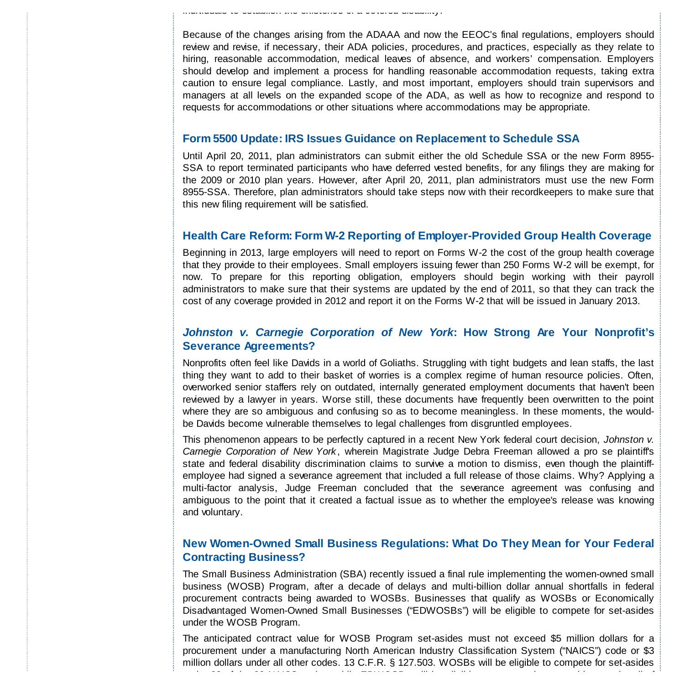Because of the changes arising from the ADAAA and now the EEOC's final regulations, employers should review and revise, if necessary, their ADA policies, procedures, and practices, especially as they relate to hiring, reasonable accommodation, medical leaves of absence, and workers' compensation. Employers should develop and implement a process for handling reasonable accommodation requests, taking extra caution to ensure legal compliance. Lastly, and most important, employers should train supervisors and managers at all levels on the expanded scope of the ADA, as well as how to recognize and respond to requests for accommodations or other situations where accommodations may be appropriate.

#### **[Form 5500 Update: IRS Issues Guidance on Replacement to Schedule SSA](http://www.venable.com/Form-5500-Update-IRS-Issues-Guidance-on-Replacement-to-Schedule-SSA-04-18-2011)**

individuals to establish the existence of a covered disability.

Until April 20, 2011, plan administrators can submit either the old Schedule SSA or the new Form 8955- SSA to report terminated participants who have deferred vested benefits, for any filings they are making for the 2009 or 2010 plan years. However, after April 20, 2011, plan administrators must use the new Form 8955-SSA. Therefore, plan administrators should take steps now with their recordkeepers to make sure that this new filing requirement will be satisfied.

#### **[Health Care Reform: Form W-2 Reporting of Employer-Provided Group Health Coverage](http://www.venable.com/health-care-reform-form-w-2-reporting-of-employer-provided-group-health-coverage-04-21-2011/)**

Beginning in 2013, large employers will need to report on Forms W-2 the cost of the group health coverage that they provide to their employees. Small employers issuing fewer than 250 Forms W-2 will be exempt, for now. To prepare for this reporting obligation, employers should begin working with their payroll administrators to make sure that their systems are updated by the end of 2011, so that they can track the cost of any coverage provided in 2012 and report it on the Forms W-2 that will be issued in January 2013.

#### *[Johnston v. Carnegie Corporation of New York](http://www.venable.com/johnston-v-carnegie-corporation-of-new-york--how-strong-are-your-nonprofits-severance-agreements/)***: How Strong Are Your Nonprofit's Severance Agreements?**

Nonprofits often feel like Davids in a world of Goliaths. Struggling with tight budgets and lean staffs, the last thing they want to add to their basket of worries is a complex regime of human resource policies. Often, overworked senior staffers rely on outdated, internally generated employment documents that haven't been reviewed by a lawyer in years. Worse still, these documents have frequently been overwritten to the point where they are so ambiguous and confusing so as to become meaningless. In these moments, the wouldbe Davids become vulnerable themselves to legal challenges from disgruntled employees.

This phenomenon appears to be perfectly captured in a recent New York federal court decision, *Johnston v. Carnegie Corporation of New York* , wherein Magistrate Judge Debra Freeman allowed a pro se plaintiff's state and federal disability discrimination claims to survive a motion to dismiss, even though the plaintiffemployee had signed a severance agreement that included a full release of those claims. Why? Applying a multi-factor analysis, Judge Freeman concluded that the severance agreement was confusing and ambiguous to the point that it created a factual issue as to whether the employee's release was knowing and voluntary.

#### **[New Women-Owned Small Business Regulations: What Do They Mean for Your Federal](http://www.venable.com/New-Women-Owned-Small-Business-Regulations-What-Do-They-Mean-for-Your-Federal-Contracting-Business-04-14-2011) Contracting Business?**

The Small Business Administration (SBA) recently issued a final rule implementing the women-owned small business (WOSB) Program, after a decade of delays and multi-billion dollar annual shortfalls in federal procurement contracts being awarded to WOSBs. Businesses that qualify as WOSBs or Economically Disadvantaged Women-Owned Small Businesses ("EDWOSBs") will be eligible to compete for set-asides under the WOSB Program.

The anticipated contract value for WOSB Program set-asides must not exceed \$5 million dollars for a procurement under a manufacturing North American Industry Classification System ("NAICS") code or \$3 million dollars under all other codes. 13 C.F.R. § 127.503. WOSBs will be eligible to compete for set-asides under 38 of the 83 NAICS codes, while EDWOSBs will be eligible to compete in competitions under all of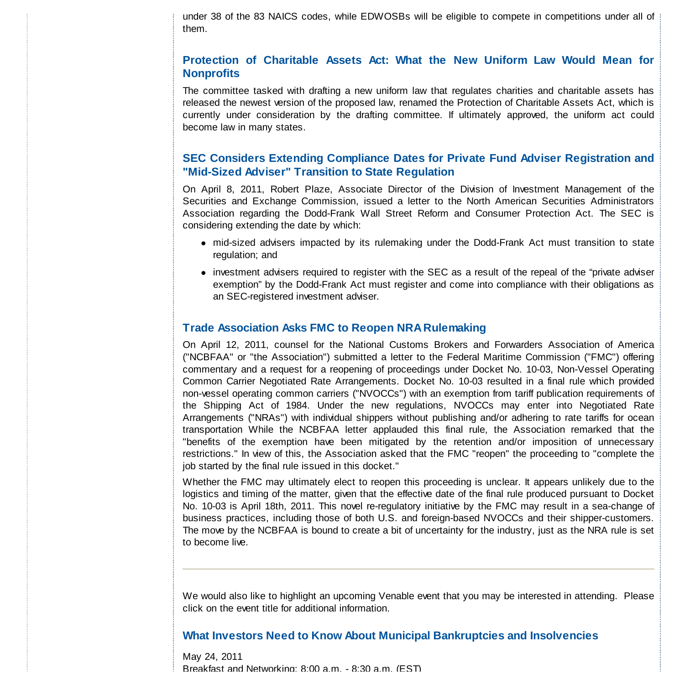under 38 of the 83 NAICS codes, while EDWOSBs will be eligible to compete in competitions under all of them.

#### **[Protection of Charitable Assets Act: What the New Uniform Law Would Mean for](http://www.venable.com/protection-of-charitable-assets-act-what-the-new-uniform-law-would-mean-for-nonprofits-04-18-2011/) Nonprofits**

The committee tasked with drafting a new uniform law that regulates charities and charitable assets has released the newest version of the proposed law, renamed the Protection of Charitable Assets Act, which is currently under consideration by the drafting committee. If ultimately approved, the uniform act could become law in many states.

#### **[SEC Considers Extending Compliance Dates for Private Fund Adviser Registration and](http://www.venable.com/sec-considers-extending-compliance-dates-for-private-fund-adviser-registration-and-mid-sized-adviser-transition-to-state-regulation-04-29-2011/) "Mid-Sized Adviser" Transition to State Regulation**

On April 8, 2011, Robert Plaze, Associate Director of the Division of Investment Management of the Securities and Exchange Commission, issued a letter to the North American Securities Administrators Association regarding the Dodd-Frank Wall Street Reform and Consumer Protection Act. The SEC is considering extending the date by which:

- mid-sized advisers impacted by its rulemaking under the Dodd-Frank Act must transition to state regulation; and
- investment advisers required to register with the SEC as a result of the repeal of the "private adviser exemption" by the Dodd-Frank Act must register and come into compliance with their obligations as an SEC-registered investment adviser.

#### **[Trade Association Asks FMC to Reopen NRA Rulemaking](http://www.venable.com/Trade-Association-Asks-FMC-to-Reopen-NRA-Rulemaking-04-18-2011)**

On April 12, 2011, counsel for the National Customs Brokers and Forwarders Association of America ("NCBFAA" or "the Association") submitted a letter to the Federal Maritime Commission ("FMC") offering commentary and a request for a reopening of proceedings under Docket No. 10-03, Non-Vessel Operating Common Carrier Negotiated Rate Arrangements. Docket No. 10-03 resulted in a final rule which provided non-vessel operating common carriers ("NVOCCs") with an exemption from tariff publication requirements of the Shipping Act of 1984. Under the new regulations, NVOCCs may enter into Negotiated Rate Arrangements ("NRAs") with individual shippers without publishing and/or adhering to rate tariffs for ocean transportation While the NCBFAA letter applauded this final rule, the Association remarked that the "benefits of the exemption have been mitigated by the retention and/or imposition of unnecessary restrictions." In view of this, the Association asked that the FMC "reopen" the proceeding to "complete the job started by the final rule issued in this docket."

Whether the FMC may ultimately elect to reopen this proceeding is unclear. It appears unlikely due to the logistics and timing of the matter, given that the effective date of the final rule produced pursuant to Docket No. 10-03 is April 18th, 2011. This novel re-regulatory initiative by the FMC may result in a sea-change of business practices, including those of both U.S. and foreign-based NVOCCs and their shipper-customers. The move by the NCBFAA is bound to create a bit of uncertainty for the industry, just as the NRA rule is set to become live.

We would also like to highlight an upcoming Venable event that you may be interested in attending. Please click on the event title for additional information.

#### **[What Investors Need to Know About Municipal Bankruptcies and Insolvencies](http://www.venable.com/what-investors-need-to-know-about-municipal-bankruptcies-and-insolvencies-05-24-2011/)**

May 24, 2011 Breakfast and Networking: 8:00 a.m. - 8:30 a.m. (EST)